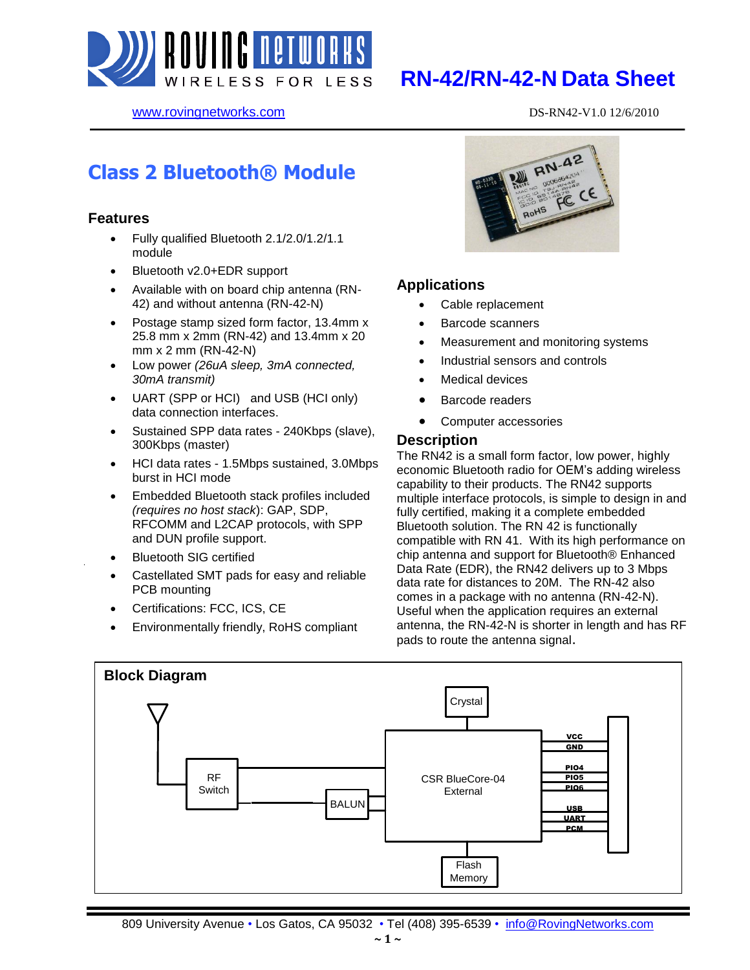

# **RN-42/RN-42-N Data Sheet**

www.rovingnetworks.com DS-RN42-V1.0 12/6/2010

# **Class 2 Bluetooth® Module**

#### **Features**

- Fully qualified Bluetooth 2.1/2.0/1.2/1.1 module
- Bluetooth v2.0+EDR support
- Available with on board chip antenna (RN-42) and without antenna (RN-42-N)
- Postage stamp sized form factor, 13.4mm x 25.8 mm x 2mm (RN-42) and 13.4mm x 20 mm x 2 mm (RN-42-N)
- Low power *(26uA sleep, 3mA connected, 30mA transmit)*
- UART (SPP or HCI) and USB (HCI only) data connection interfaces.
- Sustained SPP data rates 240Kbps (slave), 300Kbps (master)
- HCI data rates 1.5Mbps sustained, 3.0Mbps burst in HCI mode
- Embedded Bluetooth stack profiles included *(requires no host stack*): GAP, SDP, RFCOMM and L2CAP protocols, with SPP and DUN profile support.
- Bluetooth SIG certified
- Castellated SMT pads for easy and reliable PCB mounting
- Certifications: FCC, ICS, CE
- Environmentally friendly, RoHS compliant



### **Applications**

- Cable replacement
- Barcode scanners
- Measurement and monitoring systems
- Industrial sensors and controls
- Medical devices
- Barcode readers
- Computer accessories

#### **Description**

The RN42 is a small form factor, low power, highly economic Bluetooth radio for OEM's adding wireless capability to their products. The RN42 supports multiple interface protocols, is simple to design in and fully certified, making it a complete embedded Bluetooth solution. The RN 42 is functionally compatible with RN 41. With its high performance on chip antenna and support for Bluetooth® Enhanced Data Rate (EDR), the RN42 delivers up to 3 Mbps data rate for distances to 20M. The RN-42 also comes in a package with no antenna (RN-42-N). Useful when the application requires an external antenna, the RN-42-N is shorter in length and has RF pads to route the antenna signal.

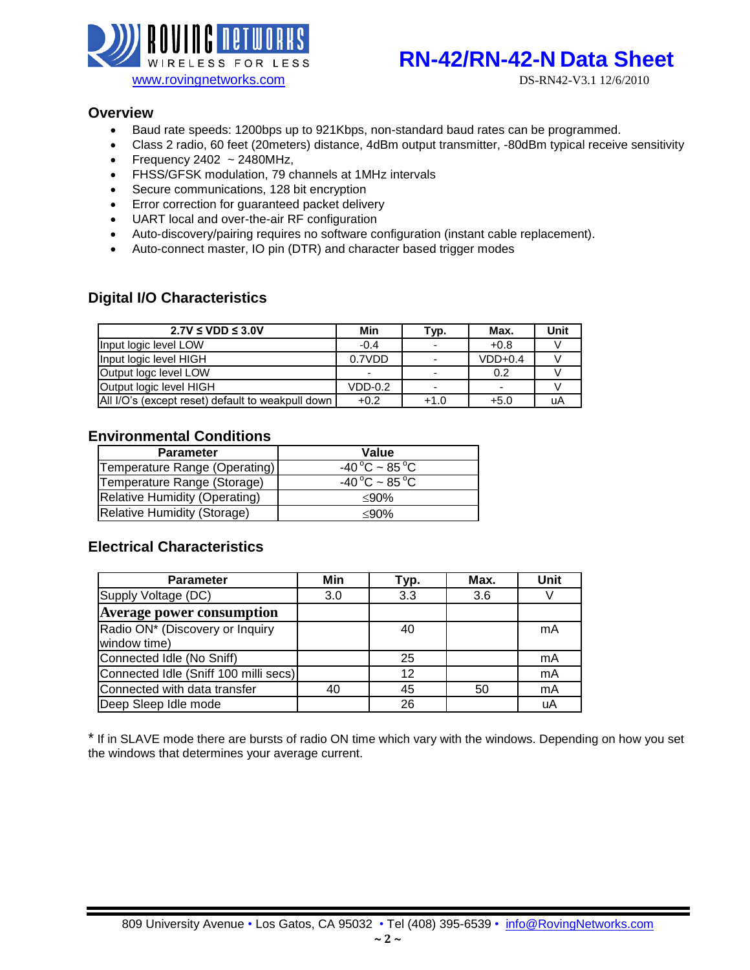

# WIRELESS FOR LESS **RN-42/RN-42-N Data Sheet**

#### **Overview**

- Baud rate speeds: 1200bps up to 921Kbps, non-standard baud rates can be programmed.
- Class 2 radio, 60 feet (20meters) distance, 4dBm output transmitter, -80dBm typical receive sensitivity
- Frequency 2402  $\sim$  2480MHz,
- FHSS/GFSK modulation, 79 channels at 1MHz intervals
- Secure communications, 128 bit encryption
- **Error correction for guaranteed packet delivery**
- UART local and over-the-air RF configuration
- Auto-discovery/pairing requires no software configuration (instant cable replacement).
- Auto-connect master, IO pin (DTR) and character based trigger modes

### **Digital I/O Characteristics**

| $2.7V \leq VDD \leq 3.0V$                         | Min       | Тур.   | Max.      | Unit |
|---------------------------------------------------|-----------|--------|-----------|------|
| Input logic level LOW                             | $-0.4$    |        | $+0.8$    |      |
| Input logic level HIGH                            | 0.7VDD    |        | $VDD+0.4$ |      |
| Output logc level LOW                             |           | -      | 0.2       |      |
| Output logic level HIGH                           | $VDD-0.2$ |        | -         |      |
| All I/O's (except reset) default to weakpull down | $+0.2$    | $+1.0$ | $+5.0$    | uA   |

### **Environmental Conditions**

| <b>Parameter</b>              | Value                           |
|-------------------------------|---------------------------------|
| Temperature Range (Operating) | $-40\degree C \sim 85\degree C$ |
| Temperature Range (Storage)   | $-40\degree C \sim 85\degree C$ |
| Relative Humidity (Operating) | $<$ 90%                         |
| Relative Humidity (Storage)   | $<$ 90%                         |

### **Electrical Characteristics**

| <b>Parameter</b>                                | Min | Typ. | Max. | Unit |
|-------------------------------------------------|-----|------|------|------|
| Supply Voltage (DC)                             | 3.0 | 3.3  | 3.6  |      |
| <b>Average power consumption</b>                |     |      |      |      |
| Radio ON* (Discovery or Inquiry<br>window time) |     | 40   |      | mA   |
| Connected Idle (No Sniff)                       |     | 25   |      | mA   |
| Connected Idle (Sniff 100 milli secs)           |     | 12   |      | mA   |
| Connected with data transfer                    | 40  | 45   | 50   | mA   |
| Deep Sleep Idle mode                            |     | 26   |      | uA   |

\* If in SLAVE mode there are bursts of radio ON time which vary with the windows. Depending on how you set the windows that determines your average current.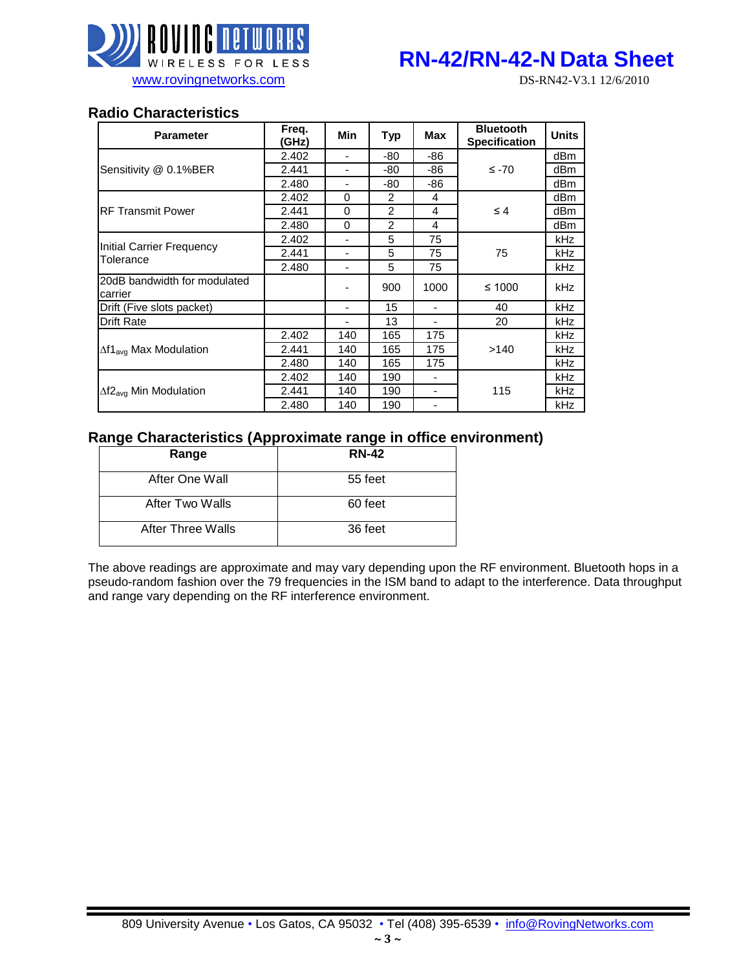

### **Radio Characteristics**

| <b>Parameter</b>                        | Freq.<br>(GHz) | <b>Min</b>               | <b>Typ</b>     | <b>Max</b>               | <b>Bluetooth</b><br><b>Specification</b> | <b>Units</b> |
|-----------------------------------------|----------------|--------------------------|----------------|--------------------------|------------------------------------------|--------------|
|                                         | 2.402          | ٠                        | -80            | -86                      |                                          | dBm          |
| Sensitivity @ 0.1%BER                   | 2.441          | -                        | -80            | -86                      | $\leq$ -70                               | dBm          |
|                                         | 2.480          | ٠                        | -80            | -86                      |                                          | dBm          |
|                                         | 2.402          | 0                        | 2              | 4                        |                                          | dBm          |
| <b>RF Transmit Power</b>                | 2.441          | 0                        | $\overline{2}$ | 4                        | $\leq 4$                                 | dBm          |
|                                         | 2.480          | $\Omega$                 | $\overline{2}$ | 4                        |                                          | dBm          |
|                                         | 2.402          | $\overline{\phantom{a}}$ | 5              | 75                       |                                          | <b>kHz</b>   |
| Initial Carrier Frequency<br>Tolerance  | 2.441          | ٠                        | 5              | 75                       | 75                                       | <b>kHz</b>   |
|                                         | 2.480          | ۰                        | 5              | 75                       |                                          | <b>kHz</b>   |
| 20dB bandwidth for modulated<br>carrier |                |                          | 900            | 1000                     | ≤ 1000                                   | kHz          |
| Drift (Five slots packet)               |                | ٠                        | 15             | -                        | 40                                       | kHz          |
| <b>Drift Rate</b>                       |                |                          | 13             |                          | 20                                       | <b>kHz</b>   |
|                                         | 2.402          | 140                      | 165            | 175                      |                                          | <b>kHz</b>   |
| $\Delta f1_{\text{avg}}$ Max Modulation | 2.441          | 140                      | 165            | 175                      | >140                                     | <b>kHz</b>   |
|                                         | 2.480          | 140                      | 165            | 175                      |                                          | <b>kHz</b>   |
|                                         | 2.402          | 140                      | 190            | $\overline{\phantom{a}}$ |                                          | <b>kHz</b>   |
| $\Delta f2_{\text{avg}}$ Min Modulation | 2.441          | 140                      | 190            | ۰                        | 115                                      | <b>kHz</b>   |
|                                         | 2.480          | 140                      | 190            | ۰                        |                                          | <b>kHz</b>   |

### **Range Characteristics (Approximate range in office environment)**

| Range             | <b>RN-42</b> |
|-------------------|--------------|
| After One Wall    | 55 feet      |
| After Two Walls   | 60 feet      |
| After Three Walls | 36 feet      |

The above readings are approximate and may vary depending upon the RF environment. Bluetooth hops in a pseudo-random fashion over the 79 frequencies in the ISM band to adapt to the interference. Data throughput and range vary depending on the RF interference environment.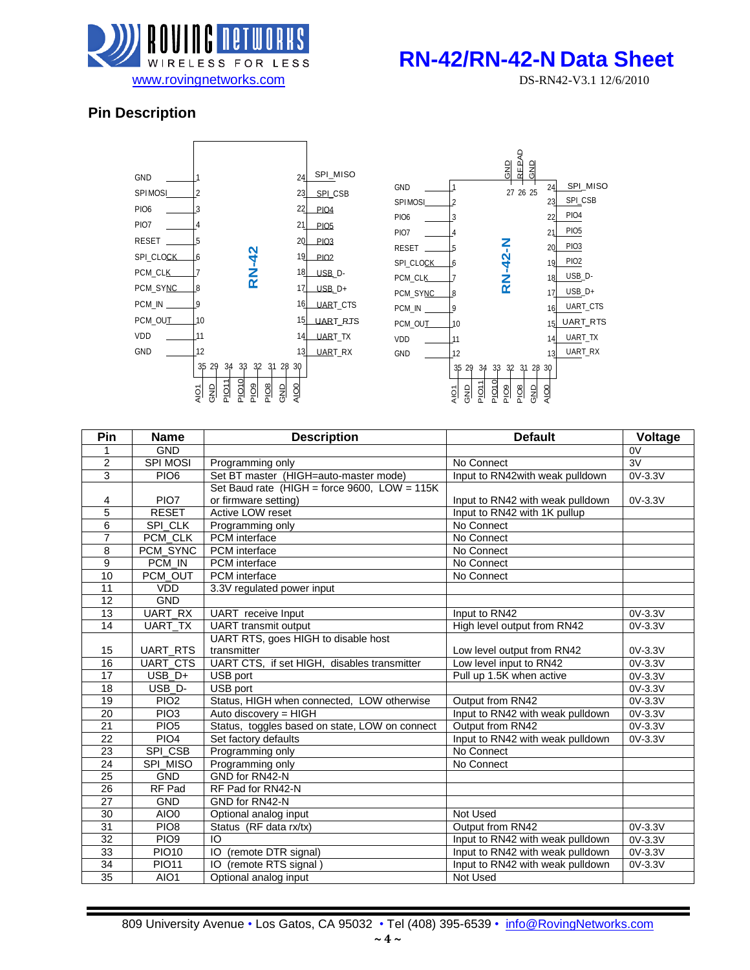

# WIRELESS FOR LESS **RN-42/RN-42-N Data Sheet**

### **Pin Description**



| Pin             | <b>Name</b>          | <b>Description</b>                              | <b>Default</b>                   | Voltage         |
|-----------------|----------------------|-------------------------------------------------|----------------------------------|-----------------|
| 1               | <b>GND</b>           |                                                 |                                  | 0V              |
| $\overline{2}$  | <b>SPI MOSI</b>      | Programming only                                | No Connect                       | $\overline{3V}$ |
| 3               | PIO <sub>6</sub>     | Set BT master (HIGH=auto-master mode)           | Input to RN42with weak pulldown  | 0V-3.3V         |
|                 |                      | Set Baud rate (HIGH = force $9600$ , LOW = 115K |                                  |                 |
| 4               | PIO7                 | or firmware setting)                            | Input to RN42 with weak pulldown | 0V-3.3V         |
| 5               | <b>RESET</b>         | Active LOW reset                                | Input to RN42 with 1K pullup     |                 |
| 6               | SPI_CLK              | Programming only                                | No Connect                       |                 |
| $\overline{7}$  | PCM_CLK              | <b>PCM</b> interface                            | No Connect                       |                 |
| 8               | PCM_SYNC             | <b>PCM</b> interface                            | No Connect                       |                 |
| 9               | PCM_IN               | PCM interface                                   | No Connect                       |                 |
| 10              | PCM_OUT              | <b>PCM</b> interface                            | No Connect                       |                 |
| 11              | <b>VDD</b>           | 3.3V regulated power input                      |                                  |                 |
| $\overline{12}$ | <b>GND</b>           |                                                 |                                  |                 |
| 13              | UART_RX              | UART receive Input                              | Input to RN42                    | 0V-3.3V         |
| 14              | UART_TX              | <b>UART</b> transmit output                     | High level output from RN42      | 0V-3.3V         |
|                 |                      | UART RTS, goes HIGH to disable host             |                                  |                 |
| 15              | UART_RTS             | transmitter                                     | Low level output from RN42       | 0V-3.3V         |
| 16              | UART_CTS             | UART CTS, if set HIGH, disables transmitter     | Low level input to RN42          | 0V-3.3V         |
| 17              | $\overline{U}$ SB_D+ | USB port                                        | Pull up 1.5K when active         | 0V-3.3V         |
| 18              | USB D-               | USB port                                        |                                  | 0V-3.3V         |
| 19              | PIO <sub>2</sub>     | Status, HIGH when connected, LOW otherwise      | Output from RN42                 | 0V-3.3V         |
| 20              | PIO <sub>3</sub>     | Auto discovery = HIGH                           | Input to RN42 with weak pulldown | 0V-3.3V         |
| $\overline{21}$ | PIO <sub>5</sub>     | Status, toggles based on state, LOW on connect  | Output from RN42                 | 0V-3.3V         |
| 22              | PIO <sub>4</sub>     | Set factory defaults                            | Input to RN42 with weak pulldown | $0V-3.3V$       |
| 23              | SPI_CSB              | Programming only                                | No Connect                       |                 |
| 24              | SPI_MISO             | Programming only                                | No Connect                       |                 |
| 25              | <b>GND</b>           | GND for RN42-N                                  |                                  |                 |
| $\overline{26}$ | RF Pad               | RF Pad for RN42-N                               |                                  |                 |
| 27              | <b>GND</b>           | GND for RN42-N                                  |                                  |                 |
| 30              | AIO0                 | Optional analog input                           | Not Used                         |                 |
| 31              | PIO <sub>8</sub>     | Status (RF data rx/tx)                          | Output from RN42                 | 0V-3.3V         |
| $\overline{32}$ | PIO <sub>9</sub>     | IO                                              | Input to RN42 with weak pulldown | 0V-3.3V         |
| 33              | <b>PIO10</b>         | IO<br>(remote DTR signal)                       | Input to RN42 with weak pulldown | 0V-3.3V         |
| $\overline{34}$ | <b>PIO11</b>         | (remote RTS signal)<br>IO                       | Input to RN42 with weak pulldown | 0V-3.3V         |
| 35              | AIO1                 | Optional analog input                           | Not Used                         |                 |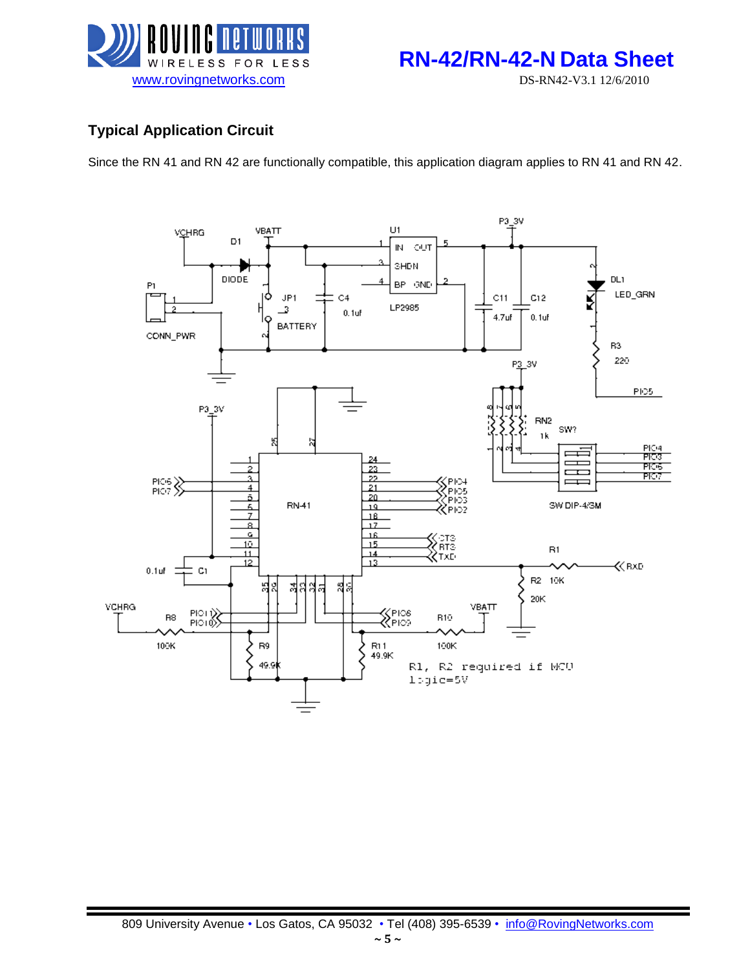



## **Typical Application Circuit**

Since the RN 41 and RN 42 are functionally compatible, this application diagram applies to RN 41 and RN 42.

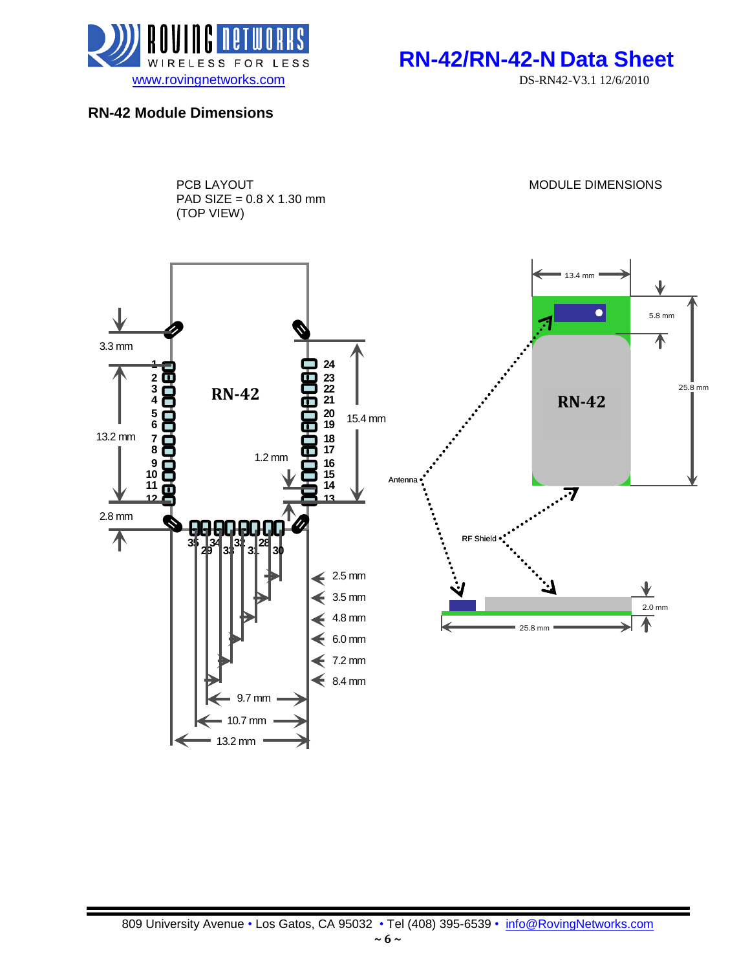

WIRELESS FOR LESS **RN-42/RN-42-N Data Sheet** 

### **RN-42 Module Dimensions**

PCB LAYOUT **Example 20 and 20 and 20 and 20 and 20 and 20 and 20 and 20 and 20 and 20 and 20 and 20 and 20 and 20 and 20 and 20 and 20 and 20 and 20 and 20 and 20 and 20 and 20 and 20 and 20 and 20 and 20 and 20 and 20 and** PAD SIZE = 0.8 X 1.30 mm (TOP VIEW)

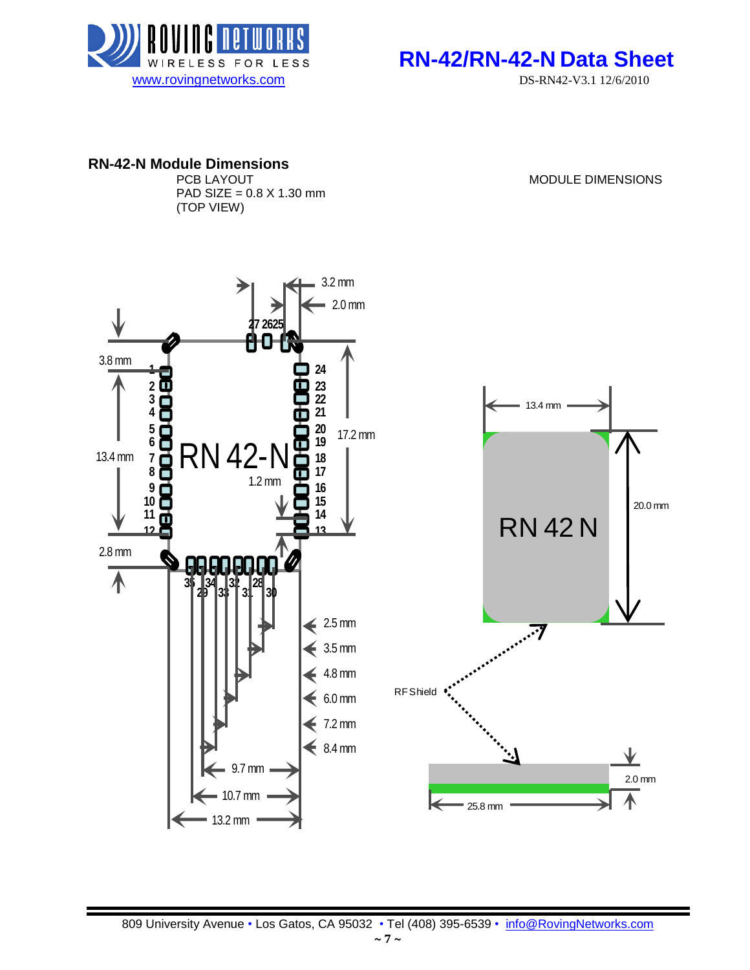



# **RN-42-N Module Dimensions**

PAD SIZE =  $0.8 \times 1.30 \text{ mm}$ (TOP VIEW)

MODULE DIMENSIONS

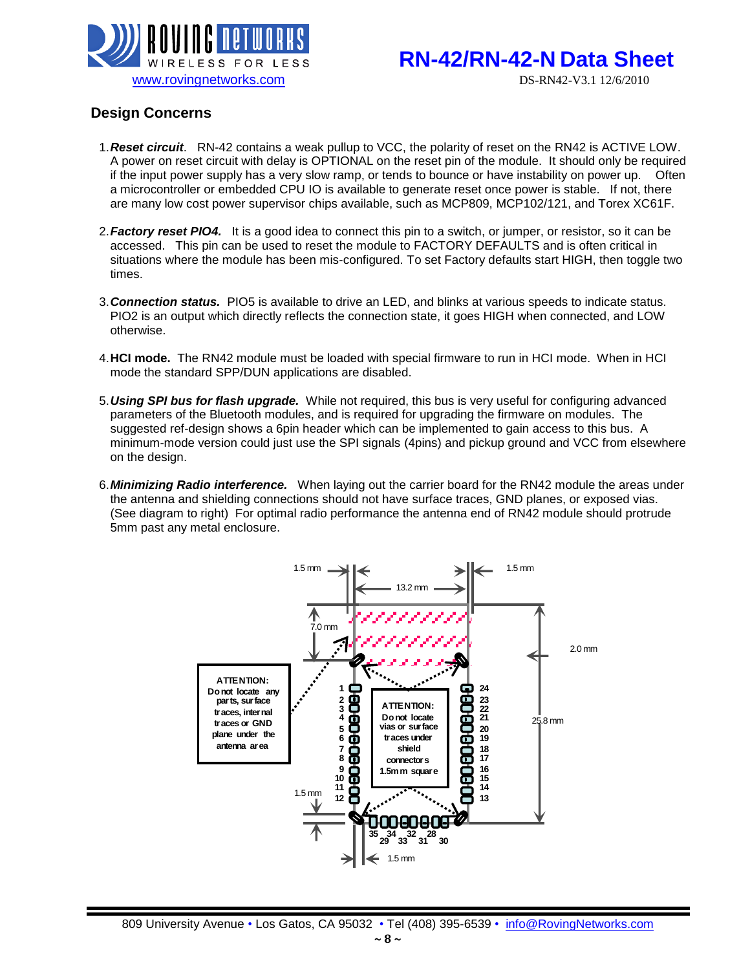

# **RN-42/RN-42-N Data Sheet**

### **Design Concerns**

- 1.*Reset circuit*. RN-42 contains a weak pullup to VCC, the polarity of reset on the RN42 is ACTIVE LOW. A power on reset circuit with delay is OPTIONAL on the reset pin of the module. It should only be required if the input power supply has a very slow ramp, or tends to bounce or have instability on power up. Often a microcontroller or embedded CPU IO is available to generate reset once power is stable. If not, there are many low cost power supervisor chips available, such as MCP809, MCP102/121, and Torex XC61F.
- 2.*Factory reset PIO4.* It is a good idea to connect this pin to a switch, or jumper, or resistor, so it can be accessed. This pin can be used to reset the module to FACTORY DEFAULTS and is often critical in situations where the module has been mis-configured. To set Factory defaults start HIGH, then toggle two times.
- 3.*Connection status.* PIO5 is available to drive an LED, and blinks at various speeds to indicate status. PIO2 is an output which directly reflects the connection state, it goes HIGH when connected, and LOW otherwise.
- 4.**HCI mode.** The RN42 module must be loaded with special firmware to run in HCI mode. When in HCI mode the standard SPP/DUN applications are disabled.
- 5.*Using SPI bus for flash upgrade.* While not required, this bus is very useful for configuring advanced parameters of the Bluetooth modules, and is required for upgrading the firmware on modules. The suggested ref-design shows a 6pin header which can be implemented to gain access to this bus. A minimum-mode version could just use the SPI signals (4pins) and pickup ground and VCC from elsewhere on the design.
- 6.*Minimizing Radio interference.* When laying out the carrier board for the RN42 module the areas under the antenna and shielding connections should not have surface traces, GND planes, or exposed vias. (See diagram to right) For optimal radio performance the antenna end of RN42 module should protrude 5mm past any metal enclosure.

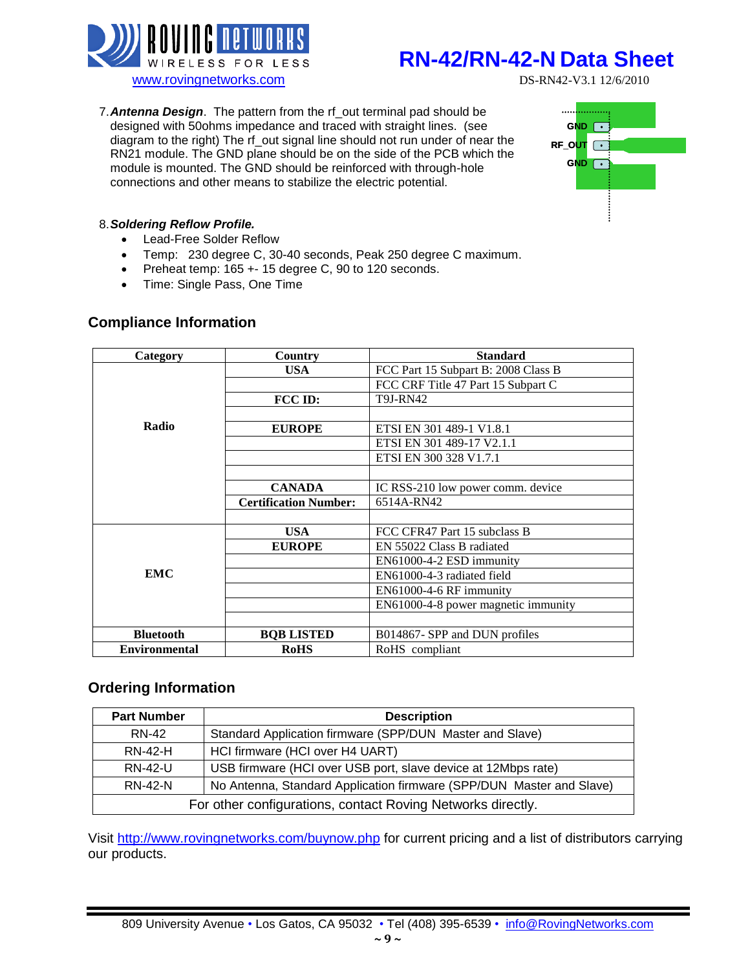

# **RN-42/RN-42-N Data Sheet**

7.*Antenna Design*. The pattern from the rf\_out terminal pad should be designed with 50ohms impedance and traced with straight lines. (see diagram to the right) The rf\_out signal line should not run under of near the RN21 module. The GND plane should be on the side of the PCB which the module is mounted. The GND should be reinforced with through-hole connections and other means to stabilize the electric potential.



#### 8.*Soldering Reflow Profile.*

- Lead-Free Solder Reflow
- Temp: 230 degree C, 30-40 seconds, Peak 250 degree C maximum.
- Preheat temp: 165 + 15 degree C, 90 to 120 seconds.
- Time: Single Pass, One Time

#### **Compliance Information**

| Category             | Country                      | <b>Standard</b>                     |  |  |
|----------------------|------------------------------|-------------------------------------|--|--|
|                      | <b>USA</b>                   | FCC Part 15 Subpart B: 2008 Class B |  |  |
|                      |                              | FCC CRF Title 47 Part 15 Subpart C  |  |  |
|                      | FCC ID:                      | <b>T9J-RN42</b>                     |  |  |
|                      |                              |                                     |  |  |
| Radio                | <b>EUROPE</b>                | ETSI EN 301 489-1 V1.8.1            |  |  |
|                      |                              | ETSI EN 301 489-17 V2.1.1           |  |  |
|                      |                              | ETSI EN 300 328 V1.7.1              |  |  |
|                      |                              |                                     |  |  |
|                      | <b>CANADA</b>                | IC RSS-210 low power comm. device   |  |  |
|                      | <b>Certification Number:</b> | 6514A-RN42                          |  |  |
|                      |                              |                                     |  |  |
|                      | <b>USA</b>                   | FCC CFR47 Part 15 subclass B        |  |  |
|                      | <b>EUROPE</b>                | EN 55022 Class B radiated           |  |  |
|                      |                              | EN61000-4-2 ESD immunity            |  |  |
| <b>EMC</b>           |                              | EN61000-4-3 radiated field          |  |  |
|                      |                              | EN61000-4-6 RF immunity             |  |  |
|                      |                              | EN61000-4-8 power magnetic immunity |  |  |
|                      |                              |                                     |  |  |
| <b>Bluetooth</b>     | <b>BOB LISTED</b>            | B014867- SPP and DUN profiles       |  |  |
| <b>Environmental</b> | <b>RoHS</b>                  | RoHS compliant                      |  |  |

#### **Ordering Information**

| <b>Part Number</b><br><b>Description</b>                                               |                                                             |  |  |
|----------------------------------------------------------------------------------------|-------------------------------------------------------------|--|--|
| RN-42                                                                                  | Standard Application firmware (SPP/DUN Master and Slave)    |  |  |
| <b>RN-42-H</b>                                                                         | HCI firmware (HCI over H4 UART)                             |  |  |
| USB firmware (HCI over USB port, slave device at 12Mbps rate)<br><b>RN-42-U</b>        |                                                             |  |  |
| No Antenna, Standard Application firmware (SPP/DUN Master and Slave)<br><b>RN-42-N</b> |                                                             |  |  |
|                                                                                        | For other configurations, contact Roving Networks directly. |  |  |

Visit<http://www.rovingnetworks.com/buynow.php> for current pricing and a list of distributors carrying our products.